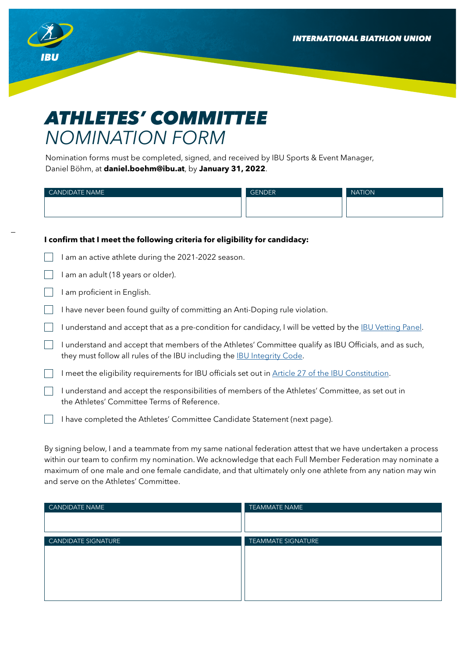**INTERNATIONAL BIATHLON UNION** 



## *ATHLETES' COMMITTEE NOMINATION FORM*

Nomination forms must be completed, signed, and received by IBU Sports & Event Manager, Daniel Böhm, at **daniel.boehm@ibu.at**, by **January 31, 2022**.

| <b>CANDIDATE NAME</b> | GENDER <sup>1</sup> | NATION <sup>1</sup> |
|-----------------------|---------------------|---------------------|
|                       |                     |                     |
|                       |                     |                     |

## **I confirm that I meet the following criteria for eligibility for candidacy:**

- $\Box$ I am an active athlete during the 2021-2022 season.
- $\Box$  I am an adult (18 years or older).
- $\Box$  I am proficient in English.
- I have never been found quilty of committing an Anti-Doping rule violation.
- I understand and accept that as a pre-condition for candidacy, I will be vetted by the **IBU Vetting Panel**.
- I understand and accept that members of the Athletes' Committee qualify as IBU Officials, and as such, they must follow all rules of the IBU including the **IBU Integrity Code**.
- $\Box$  I meet the eligibility requirements for IBU officials set out in [Article 27 of the IBU Constitution.](https://assets.ctfassets.net/cz0vl36hcq0x/2kyflHOP4Bhl9GK5o3FiZl/66a31a6c3b85c592340fab8352354261/qirfpczpjenalu3lzbgv.pdf)
- $\Box$  I understand and accept the responsibilities of members of the Athletes' Committee, as set out in the Athletes' Committee Terms of Reference.
- I have completed the Athletes' Committee Candidate Statement (next page).

By signing below, I and a teammate from my same national federation attest that we have undertaken a process within our team to confirm my nomination. We acknowledge that each Full Member Federation may nominate a maximum of one male and one female candidate, and that ultimately only one athlete from any nation may win and serve on the Athletes' Committee.

| <b>CANDIDATE NAME</b>      | <b>TEAMMATE NAME</b>      |
|----------------------------|---------------------------|
|                            |                           |
|                            |                           |
| <b>CANDIDATE SIGNATURE</b> | <b>TEAMMATE SIGNATURE</b> |
|                            |                           |
|                            |                           |
|                            |                           |
|                            |                           |
|                            |                           |